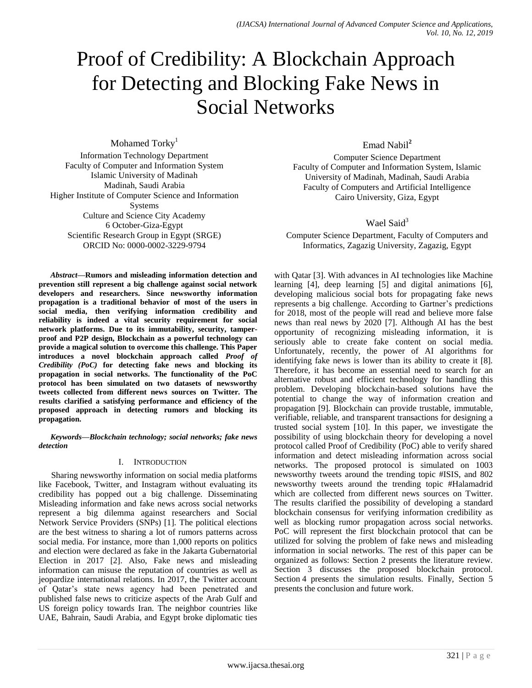# Proof of Credibility: A Blockchain Approach for Detecting and Blocking Fake News in Social Networks

Mohamed Torky<sup>1</sup> Information Technology Department Faculty of Computer and Information System Islamic University of Madinah Madinah, Saudi Arabia Higher Institute of Computer Science and Information Systems Culture and Science City Academy 6 October-Giza-Egypt Scientific Research Group in Egypt (SRGE) ORCID No: 0000-0002-3229-9794

*Abstract***—Rumors and misleading information detection and prevention still represent a big challenge against social network developers and researchers. Since newsworthy information propagation is a traditional behavior of most of the users in social media, then verifying information credibility and reliability is indeed a vital security requirement for social network platforms. Due to its immutability, security, tamperproof and P2P design, Blockchain as a powerful technology can provide a magical solution to overcome this challenge. This Paper introduces a novel blockchain approach called** *Proof of Credibility (PoC)* **for detecting fake news and blocking its propagation in social networks. The functionality of the PoC protocol has been simulated on two datasets of newsworthy tweets collected from different news sources on Twitter. The results clarified a satisfying performance and efficiency of the proposed approach in detecting rumors and blocking its propagation.**

*Keywords—Blockchain technology; social networks; fake news detection*

## I. INTRODUCTION

Sharing newsworthy information on social media platforms like Facebook, Twitter, and Instagram without evaluating its credibility has popped out a big challenge. Disseminating Misleading information and fake news across social networks represent a big dilemma against researchers and Social Network Service Providers (SNPs) [1]. The political elections are the best witness to sharing a lot of rumors patterns across social media. For instance, more than 1,000 reports on politics and election were declared as fake in the Jakarta Gubernatorial Election in 2017 [2]. Also, Fake news and misleading information can misuse the reputation of countries as well as jeopardize international relations. In 2017, the Twitter account of Qatar's state news agency had been penetrated and published false news to criticize aspects of the Arab Gulf and US foreign policy towards Iran. The neighbor countries like UAE, Bahrain, Saudi Arabia, and Egypt broke diplomatic ties Emad Nabil**<sup>2</sup>**

Computer Science Department Faculty of Computer and Information System, Islamic University of Madinah, Madinah, Saudi Arabia Faculty of Computers and Artificial Intelligence Cairo University, Giza, Egypt

## Wael Said $3$

Computer Science Department, Faculty of Computers and Informatics, Zagazig University, Zagazig, Egypt

with Qatar [3]. With advances in AI technologies like Machine learning [4], deep learning [5] and digital animations [6], developing malicious social bots for propagating fake news represents a big challenge. According to Gartner's predictions for 2018, most of the people will read and believe more false news than real news by 2020 [7]. Although AI has the best opportunity of recognizing misleading information, it is seriously able to create fake content on social media. Unfortunately, recently, the power of AI algorithms for identifying fake news is lower than its ability to create it [8]. Therefore, it has become an essential need to search for an alternative robust and efficient technology for handling this problem. Developing blockchain-based solutions have the potential to change the way of information creation and propagation [9]. Blockchain can provide trustable, immutable, verifiable, reliable, and transparent transactions for designing a trusted social system [10]. In this paper, we investigate the possibility of using blockchain theory for developing a novel protocol called Proof of Credibility (PoC) able to verify shared information and detect misleading information across social networks. The proposed protocol is simulated on 1003 newsworthy tweets around the trending topic #ISIS, and 802 newsworthy tweets around the trending topic #Halamadrid which are collected from different news sources on Twitter. The results clarified the possibility of developing a standard blockchain consensus for verifying information credibility as well as blocking rumor propagation across social networks. PoC will represent the first blockchain protocol that can be utilized for solving the problem of fake news and misleading information in social networks. The rest of this paper can be organized as follows: Section 2 presents the literature review. Section 3 discusses the proposed blockchain protocol. Section 4 presents the simulation results. Finally, Section 5 presents the conclusion and future work.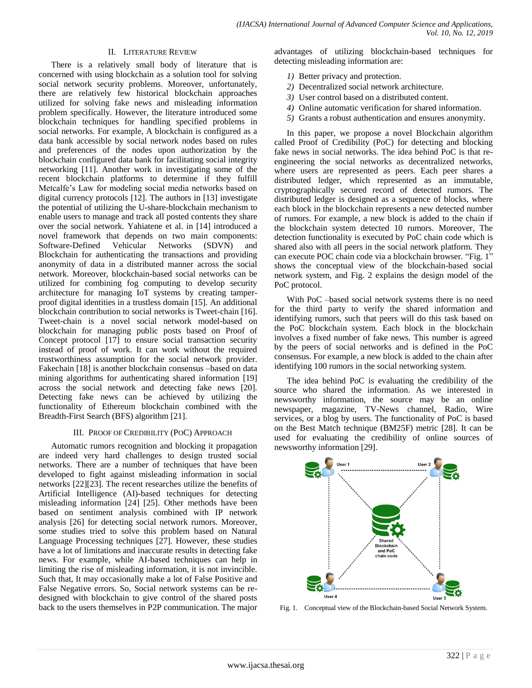#### II. LITERATURE REVIEW

There is a relatively small body of literature that is concerned with using blockchain as a solution tool for solving social network security problems. Moreover, unfortunately, there are relatively few historical blockchain approaches utilized for solving fake news and misleading information problem specifically. However, the literature introduced some blockchain techniques for handling specified problems in social networks. For example, A blockchain is configured as a data bank accessible by social network nodes based on rules and preferences of the nodes upon authorization by the blockchain configured data bank for facilitating social integrity networking [11]. Another work in investigating some of the recent blockchain platforms to determine if they fulfill Metcalfe's Law for modeling social media networks based on digital currency protocols [12]. The authors in [13] investigate the potential of utilizing the U-share-blockchain mechanism to enable users to manage and track all posted contents they share over the social network. Yahiatene et al. in [14] introduced a novel framework that depends on two main components: Software-Defined Vehicular Networks (SDVN) and Blockchain for authenticating the transactions and providing anonymity of data in a distributed manner across the social network. Moreover, blockchain-based social networks can be utilized for combining fog computing to develop security architecture for managing IoT systems by creating tamperproof digital identities in a trustless domain [15]. An additional blockchain contribution to social networks is Tweet-chain [16]. Tweet-chain is a novel social network model-based on blockchain for managing public posts based on Proof of Concept protocol [17] to ensure social transaction security instead of proof of work. It can work without the required trustworthiness assumption for the social network provider. Fakechain [18] is another blockchain consensus –based on data mining algorithms for authenticating shared information [19] across the social network and detecting fake news [20]. Detecting fake news can be achieved by utilizing the functionality of Ethereum blockchain combined with the Breadth-First Search (BFS) algorithm [21].

### III. PROOF OF CREDIBILITY (POC) APPROACH

Automatic rumors recognition and blocking it propagation are indeed very hard challenges to design trusted social networks. There are a number of techniques that have been developed to fight against misleading information in social networks [22][23]. The recent researches utilize the benefits of Artificial Intelligence (AI)-based techniques for detecting misleading information [24] [25]. Other methods have been based on sentiment analysis combined with IP network analysis [26] for detecting social network rumors. Moreover, some studies tried to solve this problem based on Natural Language Processing techniques [27]. However, these studies have a lot of limitations and inaccurate results in detecting fake news. For example, while AI-based techniques can help in limiting the rise of misleading information, it is not invincible. Such that, It may occasionally make a lot of False Positive and False Negative errors. So, Social network systems can be redesigned with blockchain to give control of the shared posts back to the users themselves in P2P communication. The major

advantages of utilizing blockchain-based techniques for detecting misleading information are:

- *1)* Better privacy and protection.
- *2)* Decentralized social network architecture.
- *3)* User control based on a distributed content.
- *4)* Online automatic verification for shared information.
- *5)* Grants a robust authentication and ensures anonymity.

In this paper, we propose a novel Blockchain algorithm called Proof of Credibility (PoC) for detecting and blocking fake news in social networks. The idea behind PoC is that reengineering the social networks as decentralized networks, where users are represented as peers. Each peer shares a distributed ledger, which represented as an immutable, cryptographically secured record of detected rumors. The distributed ledger is designed as a sequence of blocks, where each block in the blockchain represents a new detected number of rumors. For example, a new block is added to the chain if the blockchain system detected 10 rumors. Moreover, The detection functionality is executed by PoC chain code which is shared also with all peers in the social network platform. They can execute POC chain code via a blockchain browser. "Fig. 1" shows the conceptual view of the blockchain-based social network system, and Fig. 2 explains the design model of the PoC protocol.

With PoC –based social network systems there is no need for the third party to verify the shared information and identifying rumors, such that peers will do this task based on the PoC blockchain system. Each block in the blockchain involves a fixed number of fake news. This number is agreed by the peers of social networks and is defined in the PoC consensus. For example, a new block is added to the chain after identifying 100 rumors in the social networking system.

The idea behind PoC is evaluating the credibility of the source who shared the information. As we interested in newsworthy information, the source may be an online newspaper, magazine, TV-News channel, Radio, Wire services, or a blog by users. The functionality of PoC is based on the Best Match technique (BM25F) metric [28]. It can be used for evaluating the credibility of online sources of newsworthy information [29].



Fig. 1. Conceptual view of the Blockchain-based Social Network System.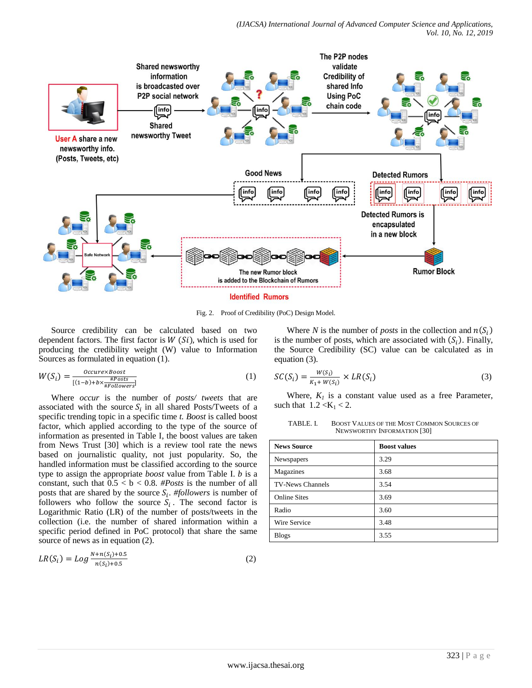

Fig. 2. Proof of Credibility (PoC) Design Model.

Source credibility can be calculated based on two dependent factors. The first factor is  $W(Si)$ , which is used for producing the credibility weight (W) value to Information Sources as formulated in equation (1).

$$
W(S_i) = \frac{0c_{\text{c}ure} \times \text{Boost}}{[(1-b) + b \times \frac{\# \text{Post}}{\# \text{Foulouse} \text{ref}}]}
$$
(1)

Where *occur* is the number of *posts/ tweets* that are associated with the source  $S_i$  in all shared Posts/Tweets of a specific trending topic in a specific time *t. Boost* is called boost factor, which applied according to the type of the source of information as presented in Table I, the boost values are taken from News Trust [30] which is a review tool rate the news based on journalistic quality, not just popularity. So, the handled information must be classified according to the source type to assign the appropriate *boost* value from Table I. *b* is a constant, such that  $0.5 < b < 0.8$ . *#Posts* is the number of all posts that are shared by the source  $S_i$ . #followers is number of followers who follow the source  $S_i$ . The second factor is Logarithmic Ratio (LR) of the number of posts/tweets in the collection (i.e. the number of shared information within a specific period defined in PoC protocol) that share the same source of news as in equation (2).

$$
LR(S_i) = Log \frac{N + n(S_i) + 0.5}{n(S_i) + 0.5}
$$
 (2)

Where *N* is the number of *posts* in the collection and  $n(S_i)$ is the number of posts, which are associated with  $(S_i)$ . Finally, the Source Credibility (SC) value can be calculated as in equation (3).

$$
SC(S_i) = \frac{W(S_i)}{K_1 + W(S_i)} \times LR(S_i)
$$
\n(3)

Where,  $K_I$  is a constant value used as a free Parameter, such that  $1.2 < K_1 < 2$ .

TABLE. I. BOOST VALUES OF THE MOST COMMON SOURCES OF NEWSWORTHY INFORMATION [30]

| <b>News Source</b>      | <b>Boost values</b> |  |  |  |  |  |  |
|-------------------------|---------------------|--|--|--|--|--|--|
| Newspapers              | 3.29                |  |  |  |  |  |  |
| Magazines               | 3.68                |  |  |  |  |  |  |
| <b>TV-News Channels</b> | 3.54                |  |  |  |  |  |  |
| <b>Online Sites</b>     | 3.69                |  |  |  |  |  |  |
| Radio                   | 3.60                |  |  |  |  |  |  |
| Wire Service            | 3.48                |  |  |  |  |  |  |
| <b>Blogs</b>            | 3.55                |  |  |  |  |  |  |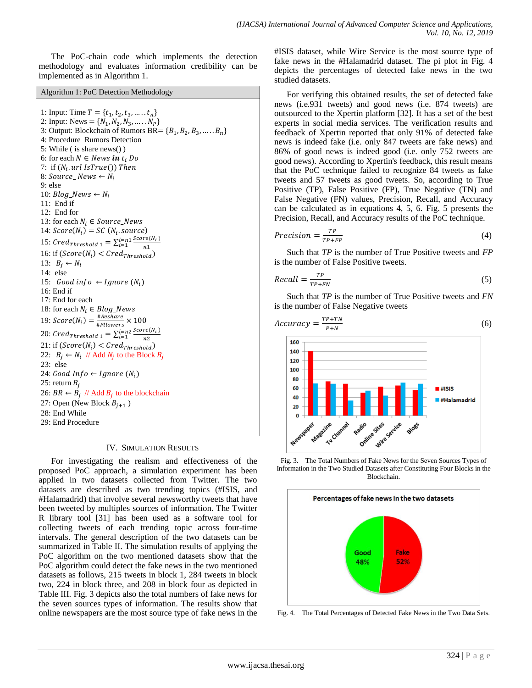The PoC-chain code which implements the detection methodology and evaluates information credibility can be implemented as in Algorithm 1.

Algorithm 1: PoC Detection Methodology

1: Input: Time  $T = \{t_1, t_2, t_3, \dots, t_n\}$ 2: Input: News =  $\{N_1, N_2, N_3, \dots, N_P\}$ 3: Output: Blockchain of Rumors BR =  ${B_1, B_2, B_3, \ldots, B_n}$ 4: Procedure Rumors Detection 5: While ( is share news() ) 6: for each  $N \in News$  in  $t_i$  Do 7: if  $(N_i)$ . 8:  $Source\_News \leftarrow N_i$ 9: else 10:  $Blog\_News \leftarrow N_i$ 11: End if 12: End for 13: for each  $N_i \in Source\_News$ 14:  $Score(N_i) = SC(N_i)$ 15:  $Cred_{Threshold 1} = \sum_{i=1}^{i=n1} \frac{S}{i}$ n i<br>i 16: if  $(Score(N_i)$ 13:  $B_i \leftarrow N_i$ 14: else 15: Good info  $\leftarrow$  Ignore  $(N_i)$ 16: End if 17: End for each 18: for each  $N_i \in Blog\_News$ 19:  $Score(N_i) = \frac{#}{n}$  $\frac{m_{\text{res}}}{#_{\text{Flowers}}}$  × 20:  $Cred_{Threshold\ 1} = \sum_{i=1}^{i=n2} \frac{S}{i}$ n i<br>i 21: if  $(Score(N_i))$ 22:  $B_i \leftarrow N_i$  // Add  $N_i$  to the Block 23: else 24: Good Info  $\leftarrow$  Ignore (N<sub>i</sub>) 25: return  $B_i$ 26:  $BR \leftarrow B_i$  // Add  $B_i$  to the blockchain 27: Open (New Block  $B_{i+1}$ ) 28: End While 29: End Procedure

#### IV. SIMULATION RESULTS

For investigating the realism and effectiveness of the proposed PoC approach, a simulation experiment has been applied in two datasets collected from Twitter. The two datasets are described as two trending topics (#ISIS, and #Halamadrid) that involve several newsworthy tweets that have been tweeted by multiples sources of information. The Twitter R library tool [31] has been used as a software tool for collecting tweets of each trending topic across four-time intervals. The general description of the two datasets can be summarized in Table II. The simulation results of applying the PoC algorithm on the two mentioned datasets show that the PoC algorithm could detect the fake news in the two mentioned datasets as follows, 215 tweets in block 1, 284 tweets in block two, 224 in block three, and 208 in block four as depicted in Table III. Fig. 3 depicts also the total numbers of fake news for the seven sources types of information. The results show that online newspapers are the most source type of fake news in the #ISIS dataset, while Wire Service is the most source type of fake news in the #Halamadrid dataset. The pi plot in Fig. 4 depicts the percentages of detected fake news in the two studied datasets.

For verifying this obtained results, the set of detected fake news (i.e.931 tweets) and good news (i.e. 874 tweets) are outsourced to the Xpertin platform [32]. It has a set of the best experts in social media services. The verification results and feedback of Xpertin reported that only 91% of detected fake news is indeed fake (i.e. only 847 tweets are fake news) and 86% of good news is indeed good (i.e. only 752 tweets are good news). According to Xpertin's feedback, this result means that the PoC technique failed to recognize 84 tweets as fake tweets and 57 tweets as good tweets. So, according to True Positive (TP), False Positive (FP), True Negative (TN) and False Negative (FN) values, Precision, Recall, and Accuracy can be calculated as in equations 4, 5, 6. Fig. 5 presents the Precision, Recall, and Accuracy results of the PoC technique.

$$
Precision = \frac{TP}{TP + FP}
$$
 (4)

Such that *TP* is the number of True Positive tweets and *FP*  is the number of False Positive tweets.

$$
Recall = \frac{TP}{TP + FN} \tag{5}
$$

Such that *TP* is the number of True Positive tweets and *FN*  is the number of False Negative tweets



Fig. 3. The Total Numbers of Fake News for the Seven Sources Types of Information in the Two Studied Datasets after Constituting Four Blocks in the Blockchain.



Fig. 4. The Total Percentages of Detected Fake News in the Two Data Sets.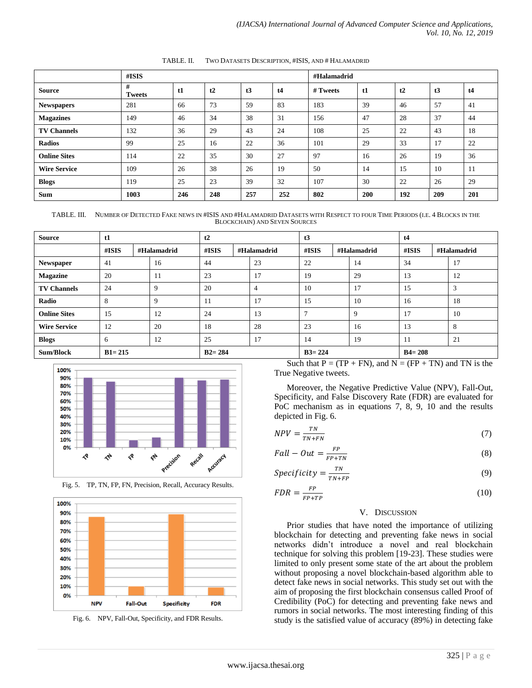|                     | $\#ISIS$           |     |     |     |     | #Halamadrid |            |     |     |     |  |  |
|---------------------|--------------------|-----|-----|-----|-----|-------------|------------|-----|-----|-----|--|--|
| <b>Source</b>       | #<br><b>Tweets</b> | t1  | t2  | t3  | t4  | # Tweets    | t1         | t2  | t3  | t4  |  |  |
| <b>Newspapers</b>   | 281                | 66  | 73  | 59  | 83  | 183         | 39         | 46  | 57  | 41  |  |  |
| <b>Magazines</b>    | 149                | 46  | 34  | 38  | 31  | 156         | 47         | 28  | 37  | 44  |  |  |
| <b>TV Channels</b>  | 132                | 36  | 29  | 43  | 24  | 108         | 25         | 22  | 43  | 18  |  |  |
| <b>Radios</b>       | 99                 | 25  | 16  | 22  | 36  | 101         | 29         | 33  | 17  | 22  |  |  |
| <b>Online Sites</b> | 114                | 22  | 35  | 30  | 27  | 97          | 16         | 26  | 19  | 36  |  |  |
| <b>Wire Service</b> | 109                | 26  | 38  | 26  | 19  | 50          | 14         | 15  | 10  | 11  |  |  |
| <b>Blogs</b>        | 119                | 25  | 23  | 39  | 32  | 107         | 30         | 22  | 26  | 29  |  |  |
| <b>Sum</b>          | 1003               | 246 | 248 | 257 | 252 | 802         | <b>200</b> | 192 | 209 | 201 |  |  |

TABLE. II. TWO DATASETS DESCRIPTION, #ISIS, AND # HALAMADRID

TABLE. III. NUMBER OF DETECTED FAKE NEWS IN #ISIS AND #HALAMADRID DATASETS WITH RESPECT TO FOUR TIME PERIODS (I.E. 4 BLOCKS IN THE BLOCKCHAIN) AND SEVEN SOURCES

| <b>Source</b>       | t1         |  | t2          |          |            | t3          |               |            | t4          |       |  |             |
|---------------------|------------|--|-------------|----------|------------|-------------|---------------|------------|-------------|-------|--|-------------|
|                     | $\#ISIS$   |  | #Halamadrid | $\#ISIS$ |            | #Halamadrid | $\#ISIS$      |            | #Halamadrid | #ISIS |  | #Halamadrid |
| Newspaper           | 41         |  | 16          | 44       |            | 23          | 22            |            | 14          | 34    |  | 17          |
| <b>Magazine</b>     | 20         |  | 11          | 23       |            | 17          | 19            |            | 29          | 13    |  | 12          |
| <b>TV Channels</b>  | 24         |  | 9           | 20       |            | 4           | 10            |            | 17          | 15    |  | 3           |
| Radio               | 8          |  | 9           | 11       |            | 17          | 15            |            | 10          | 16    |  | 18          |
| <b>Online Sites</b> | 15         |  | 12          | 24       |            | 13          | $\mathcal{I}$ |            | 9           | 17    |  | 10          |
| <b>Wire Service</b> | 12         |  | 20          | 18       |            | 28          | 23            |            | 16          | 13    |  | 8           |
| <b>Blogs</b>        | 6          |  | 12          | 25       |            | 17          | 14            |            | 19          | -11   |  | 21          |
| <b>Sum/Block</b>    | $B1 = 215$ |  | $B2 = 284$  |          | $B3 = 224$ |             |               | $B4 = 208$ |             |       |  |             |



Fig. 5. TP, TN, FP, FN, Precision, Recall, Accuracy Results.





Such that  $P = (TP + FN)$ , and  $N = (FP + TN)$  and TN is the True Negative tweets.

Moreover, the Negative Predictive Value (NPV), Fall-Out, Specificity, and False Discovery Rate (FDR) are evaluated for PoC mechanism as in equations 7, 8, 9, 10 and the results depicted in Fig. 6.

$$
NPV = \frac{TN}{TN + FN} \tag{7}
$$

$$
Fall - Out = \frac{FP}{FP + TN}
$$
\n(8)

$$
Specificity = \frac{TN}{TN + FP}
$$
 (9)

$$
FDR = \frac{FP}{FP + TP}
$$
\n<sup>(10)</sup>

## V. DISCUSSION

Prior studies that have noted the importance of utilizing blockchain for detecting and preventing fake news in social networks didn't introduce a novel and real blockchain technique for solving this problem [19-23]. These studies were limited to only present some state of the art about the problem without proposing a novel blockchain-based algorithm able to detect fake news in social networks. This study set out with the aim of proposing the first blockchain consensus called Proof of Credibility (PoC) for detecting and preventing fake news and rumors in social networks. The most interesting finding of this study is the satisfied value of accuracy (89%) in detecting fake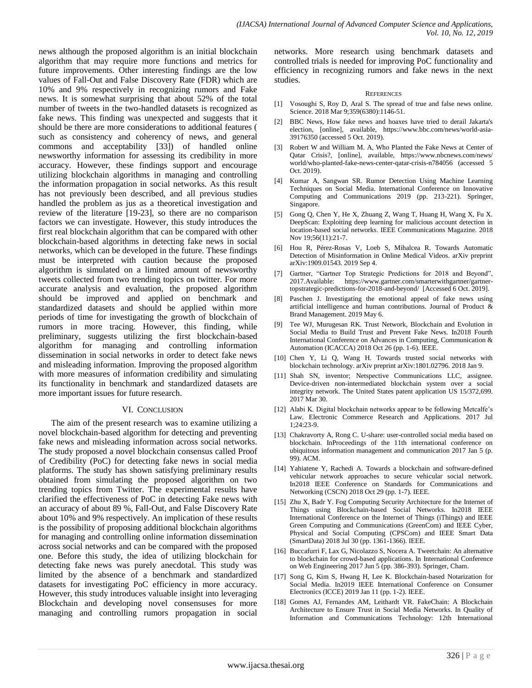news although the proposed algorithm is an initial blockchain algorithm that may require more functions and metrics for future improvements. Other interesting findings are the low values of Fall-Out and False Discovery Rate (FDR) which are 10% and 9% respectively in recognizing rumors and Fake news. It is somewhat surprising that about 52% of the total number of tweets in the two-handled datasets is recognized as fake news. This finding was unexpected and suggests that it should be there are more considerations to additional features ( such as consistency and coherency of news, and general commons and acceptability [33]) of handled online newsworthy information for assessing its credibility in more accuracy. However, these findings support and encourage utilizing blockchain algorithms in managing and controlling the information propagation in social networks. As this result has not previously been described, and all previous studies handled the problem as jus as a theoretical investigation and review of the literature [19-23], so there are no comparison factors we can investigate. However, this study introduces the first real blockchain algorithm that can be compared with other blockchain-based algorithms in detecting fake news in social networks, which can be developed in the future. These findings must be interpreted with caution because the proposed algorithm is simulated on a limited amount of newsworthy tweets collected from two trending topics on twitter. For more accurate analysis and evaluation, the proposed algorithm should be improved and applied on benchmark and standardized datasets and should be applied within more periods of time for investigating the growth of blockchain of rumors in more tracing. However, this finding, while preliminary, suggests utilizing the first blockchain-based algorithm for managing and controlling information dissemination in social networks in order to detect fake news and misleading information. Improving the proposed algorithm with more measures of information credibility and simulating its functionality in benchmark and standardized datasets are more important issues for future research.

#### VI. CONCLUSION

The aim of the present research was to examine utilizing a novel blockchain-based algorithm for detecting and preventing fake news and misleading information across social networks. The study proposed a novel blockchain consensus called Proof of Credibility (PoC) for detecting fake news in social media platforms. The study has shown satisfying preliminary results obtained from simulating the proposed algorithm on two trending topics from Twitter. The experimental results have clarified the effectiveness of PoC in detecting Fake news with an accuracy of about 89 %, Fall-Out, and False Discovery Rate about 10% and 9% respectively. An implication of these results is the possibility of proposing additional blockchain algorithms for managing and controlling online information dissemination across social networks and can be compared with the proposed one. Before this study, the idea of utilizing blockchain for detecting fake news was purely anecdotal. This study was limited by the absence of a benchmark and standardized datasets for investigating PoC efficiency in more accuracy. However, this study introduces valuable insight into leveraging Blockchain and developing novel consensuses for more managing and controlling rumors propagation in social networks. More research using benchmark datasets and controlled trials is needed for improving PoC functionality and efficiency in recognizing rumors and fake news in the next studies.

#### **REFERENCES**

- [1] Vosoughi S, Roy D, Aral S. The spread of true and false news online. Science. 2018 Mar 9;359(6380):1146-51.
- [2] BBC News, How fake news and hoaxes have tried to derail Jakarta's election, [online], available, https://www.bbc.com/news/world-asia-39176350 (accessed 5 Oct. 2019).
- [3] Robert W and William M. A, Who Planted the Fake News at Center of Qatar Crisis?, [online], available, https://www.nbcnews.com/news/ world/who-planted-fake-news-center-qatar-crisis-n784056 (accessed 5 Oct. 2019).
- Kumar A, Sangwan SR. Rumor Detection Using Machine Learning Techniques on Social Media. International Conference on Innovative Computing and Communications 2019 (pp. 213-221). Springer, Singapore.
- [5] Gong Q, Chen Y, He X, Zhuang Z, Wang T, Huang H, Wang X, Fu X. DeepScan: Exploiting deep learning for malicious account detection in location-based social networks. IEEE Communications Magazine. 2018 Nov 19;56(11):21-7.
- [6] Hou R, Pérez-Rosas V, Loeb S, Mihalcea R. Towards Automatic Detection of Misinformation in Online Medical Videos. arXiv preprint arXiv:1909.01543. 2019 Sep 4.
- [7] Gartner, "Gartner Top Strategic Predictions for 2018 and Beyond", 2017.Available: https://www.gartner.com/smarterwithgartner/gartnertopstrategic-predictions-for-2018-and-beyond/ [Accessed 6 Oct. 2019].
- [8] Paschen J. Investigating the emotional appeal of fake news using artificial intelligence and human contributions. Journal of Product & Brand Management. 2019 May 6.
- [9] Tee WJ, Murugesan RK. Trust Network, Blockchain and Evolution in Social Media to Build Trust and Prevent Fake News. In2018 Fourth International Conference on Advances in Computing, Communication & Automation (ICACCA) 2018 Oct 26 (pp. 1-6). IEEE.
- [10] Chen Y, Li Q, Wang H. Towards trusted social networks with blockchain technology. arXiv preprint arXiv:1801.02796. 2018 Jan 9.
- [11] Shah SN, inventor; Netspective Communications LLC, assignee. Device-driven non-intermediated blockchain system over a social integrity network. The United States patent application US 15/372,699. 2017 Mar 30.
- [12] Alabi K. Digital blockchain networks appear to be following Metcalfe's Law. Electronic Commerce Research and Applications. 2017 Jul 1;24:23-9.
- [13] Chakravorty A, Rong C. U-share: user-controlled social media based on blockchain. InProceedings of the 11th international conference on ubiquitous information management and communication 2017 Jan 5 (p. 99). ACM.
- [14] Yahiatene Y, Rachedi A. Towards a blockchain and software-defined vehicular network approaches to secure vehicular social network. In2018 IEEE Conference on Standards for Communications and Networking (CSCN) 2018 Oct 29 (pp. 1-7). IEEE.
- [15] Zhu X, Badr Y. Fog Computing Security Architecture for the Internet of Things using Blockchain-based Social Networks. In2018 IEEE International Conference on the Internet of Things (iThings) and IEEE Green Computing and Communications (GreenCom) and IEEE Cyber, Physical and Social Computing (CPSCom) and IEEE Smart Data (SmartData) 2018 Jul 30 (pp. 1361-1366). IEEE.
- [16] Buccafurri F, Lax G, Nicolazzo S, Nocera A. Tweetchain: An alternative to blockchain for crowd-based applications. In International Conference on Web Engineering 2017 Jun 5 (pp. 386-393). Springer, Cham.
- [17] Song G, Kim S, Hwang H, Lee K. Blockchain-based Notarization for Social Media. In2019 IEEE International Conference on Consumer Electronics (ICCE) 2019 Jan 11 (pp. 1-2). IEEE.
- [18] Gomes AJ, Fernandes AM, Leithardt VR. FakeChain: A Blockchain Architecture to Ensure Trust in Social Media Networks. In Quality of Information and Communications Technology: 12th International